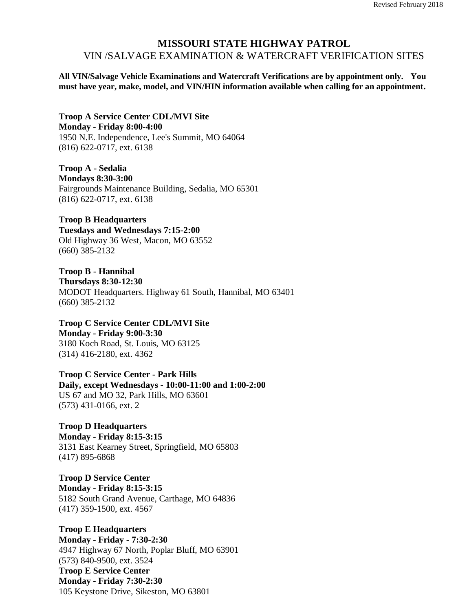## **MISSOURI STATE HIGHWAY PATROL** VIN /SALVAGE EXAMINATION & WATERCRAFT VERIFICATION SITES

**All VIN/Salvage Vehicle Examinations and Watercraft Verifications are by appointment only. You must have year, make, model, and VIN/HIN information available when calling for an appointment.**

**Troop A Service Center CDL/MVI Site Monday - Friday 8:00-4:00** 1950 N.E. Independence, Lee's Summit, MO 64064 (816) 622-0717, ext. 6138

**Troop A - Sedalia Mondays 8:30-3:00** Fairgrounds Maintenance Building, Sedalia, MO 65301 (816) 622-0717, ext. 6138

**Troop B Headquarters Tuesdays and Wednesdays 7:15-2:00** Old Highway 36 West, Macon, MO 63552 (660) 385-2132

**Troop B - Hannibal Thursdays 8:30-12:30** MODOT Headquarters. Highway 61 South, Hannibal, MO 63401 (660) 385-2132

**Troop C Service Center CDL/MVI Site Monday - Friday 9:00-3:30** 3180 Koch Road, St. Louis, MO 63125 (314) 416-2180, ext. 4362

**Troop C Service Center - Park Hills Daily, except Wednesdays** - **10:00-11:00 and 1:00-2:00** US 67 and MO 32, Park Hills, MO 63601 (573) 431-0166, ext. 2

**Troop D Headquarters Monday - Friday 8:15-3:15** 3131 East Kearney Street, Springfield, MO 65803 (417) 895-6868

**Troop D Service Center Monday - Friday 8:15-3:15** 5182 South Grand Avenue, Carthage, MO 64836 (417) 359-1500, ext. 4567

**Troop E Headquarters Monday - Friday - 7:30-2:30** 4947 Highway 67 North, Poplar Bluff, MO 63901 (573) 840-9500, ext. 3524 **Troop E Service Center Monday - Friday 7:30-2:30** 105 Keystone Drive, Sikeston, MO 63801